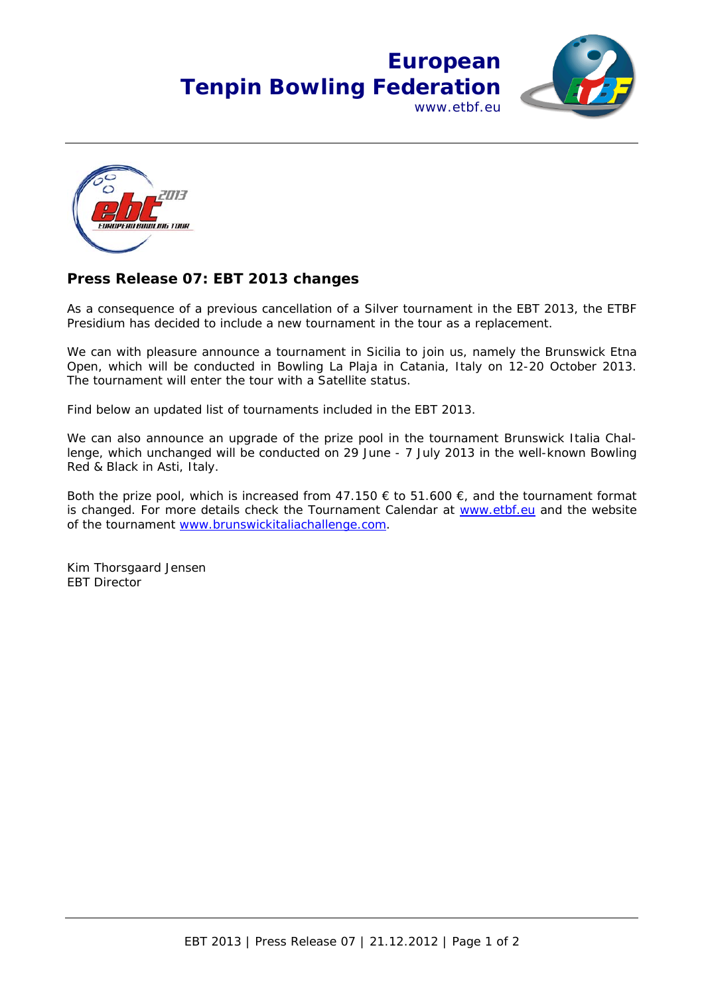## **European Tenpin Bowling Federation** www.etbf.eu





## **Press Release 07: EBT 2013 changes**

As a consequence of a previous cancellation of a Silver tournament in the EBT 2013, the ETBF Presidium has decided to include a new tournament in the tour as a replacement.

We can with pleasure announce a tournament in Sicilia to join us, namely the Brunswick Etna Open, which will be conducted in Bowling La Plaja in Catania, Italy on 12-20 October 2013. The tournament will enter the tour with a Satellite status.

Find below an updated list of tournaments included in the EBT 2013.

We can also announce an upgrade of the prize pool in the tournament Brunswick Italia Challenge, which unchanged will be conducted on 29 June - 7 July 2013 in the well-known Bowling Red & Black in Asti, Italy.

Both the prize pool, which is increased from  $47.150 \in$  to  $51.600 \in$ , and the tournament format is changed. For more details check the Tournament Calendar at www.etbf.eu and the website of the tournament www.brunswickitaliachallenge.com.

Kim Thorsgaard Jensen EBT Director